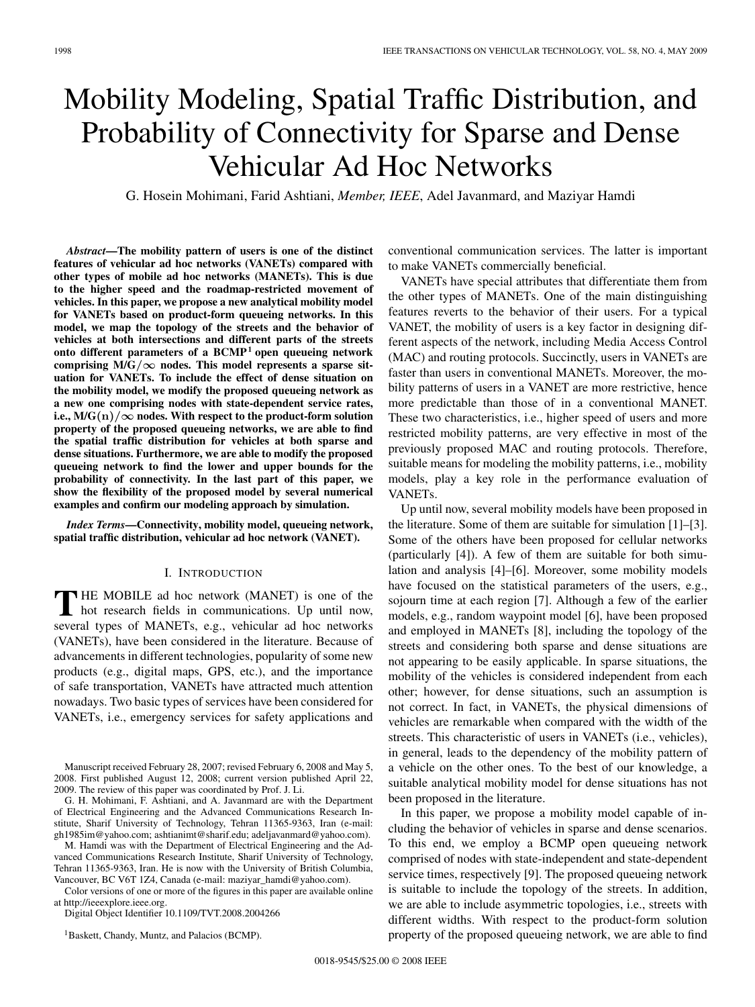# Mobility Modeling, Spatial Traffic Distribution, and Probability of Connectivity for Sparse and Dense Vehicular Ad Hoc Networks

G. Hosein Mohimani, Farid Ashtiani, *Member, IEEE*, Adel Javanmard, and Maziyar Hamdi

*Abstract***—The mobility pattern of users is one of the distinct features of vehicular ad hoc networks (VANETs) compared with other types of mobile ad hoc networks (MANETs). This is due to the higher speed and the roadmap-restricted movement of vehicles. In this paper, we propose a new analytical mobility model for VANETs based on product-form queueing networks. In this model, we map the topology of the streets and the behavior of vehicles at both intersections and different parts of the streets onto different parameters of a BCMP<sup>1</sup> open queueing network** comprising  $M/G/\infty$  nodes. This model represents a sparse sit**uation for VANETs. To include the effect of dense situation on the mobility model, we modify the proposed queueing network as a new one comprising nodes with state-dependent service rates, i.e., M/G** $(n)/\infty$  nodes. With respect to the product-form solution **property of the proposed queueing networks, we are able to find the spatial traffic distribution for vehicles at both sparse and dense situations. Furthermore, we are able to modify the proposed queueing network to find the lower and upper bounds for the probability of connectivity. In the last part of this paper, we show the flexibility of the proposed model by several numerical examples and confirm our modeling approach by simulation.**

*Index Terms***—Connectivity, mobility model, queueing network, spatial traffic distribution, vehicular ad hoc network (VANET).**

## I. INTRODUCTION

**T** HE MOBILE ad hoc network (MANET) is one of the hot research fields in communications. Up until now, several types of MANETs, e.g., vehicular ad hoc networks (VANETs), have been considered in the literature. Because of advancements in different technologies, popularity of some new products (e.g., digital maps, GPS, etc.), and the importance of safe transportation, VANETs have attracted much attention nowadays. Two basic types of services have been considered for VANETs, i.e., emergency services for safety applications and

Manuscript received February 28, 2007; revised February 6, 2008 and May 5, 2008. First published August 12, 2008; current version published April 22, 2009. The review of this paper was coordinated by Prof. J. Li.

G. H. Mohimani, F. Ashtiani, and A. Javanmard are with the Department of Electrical Engineering and the Advanced Communications Research Institute, Sharif University of Technology, Tehran 11365-9363, Iran (e-mail: gh1985im@yahoo.com; ashtianimt@sharif.edu; adeljavanmard@yahoo.com).

M. Hamdi was with the Department of Electrical Engineering and the Advanced Communications Research Institute, Sharif University of Technology, Tehran 11365-9363, Iran. He is now with the University of British Columbia, Vancouver, BC V6T 1Z4, Canada (e-mail: maziyar\_hamdi@yahoo.com).

Color versions of one or more of the figures in this paper are available online at http://ieeexplore.ieee.org.

Digital Object Identifier 10.1109/TVT.2008.2004266

<sup>1</sup> Baskett, Chandy, Muntz, and Palacios (BCMP).

conventional communication services. The latter is important to make VANETs commercially beneficial.

VANETs have special attributes that differentiate them from the other types of MANETs. One of the main distinguishing features reverts to the behavior of their users. For a typical VANET, the mobility of users is a key factor in designing different aspects of the network, including Media Access Control (MAC) and routing protocols. Succinctly, users in VANETs are faster than users in conventional MANETs. Moreover, the mobility patterns of users in a VANET are more restrictive, hence more predictable than those of in a conventional MANET. These two characteristics, i.e., higher speed of users and more restricted mobility patterns, are very effective in most of the previously proposed MAC and routing protocols. Therefore, suitable means for modeling the mobility patterns, i.e., mobility models, play a key role in the performance evaluation of VANETs.

Up until now, several mobility models have been proposed in the literature. Some of them are suitable for simulation [1]–[3]. Some of the others have been proposed for cellular networks (particularly [4]). A few of them are suitable for both simulation and analysis [4]–[6]. Moreover, some mobility models have focused on the statistical parameters of the users, e.g., sojourn time at each region [7]. Although a few of the earlier models, e.g., random waypoint model [6], have been proposed and employed in MANETs [8], including the topology of the streets and considering both sparse and dense situations are not appearing to be easily applicable. In sparse situations, the mobility of the vehicles is considered independent from each other; however, for dense situations, such an assumption is not correct. In fact, in VANETs, the physical dimensions of vehicles are remarkable when compared with the width of the streets. This characteristic of users in VANETs (i.e., vehicles), in general, leads to the dependency of the mobility pattern of a vehicle on the other ones. To the best of our knowledge, a suitable analytical mobility model for dense situations has not been proposed in the literature.

In this paper, we propose a mobility model capable of including the behavior of vehicles in sparse and dense scenarios. To this end, we employ a BCMP open queueing network comprised of nodes with state-independent and state-dependent service times, respectively [9]. The proposed queueing network is suitable to include the topology of the streets. In addition, we are able to include asymmetric topologies, i.e., streets with different widths. With respect to the product-form solution property of the proposed queueing network, we are able to find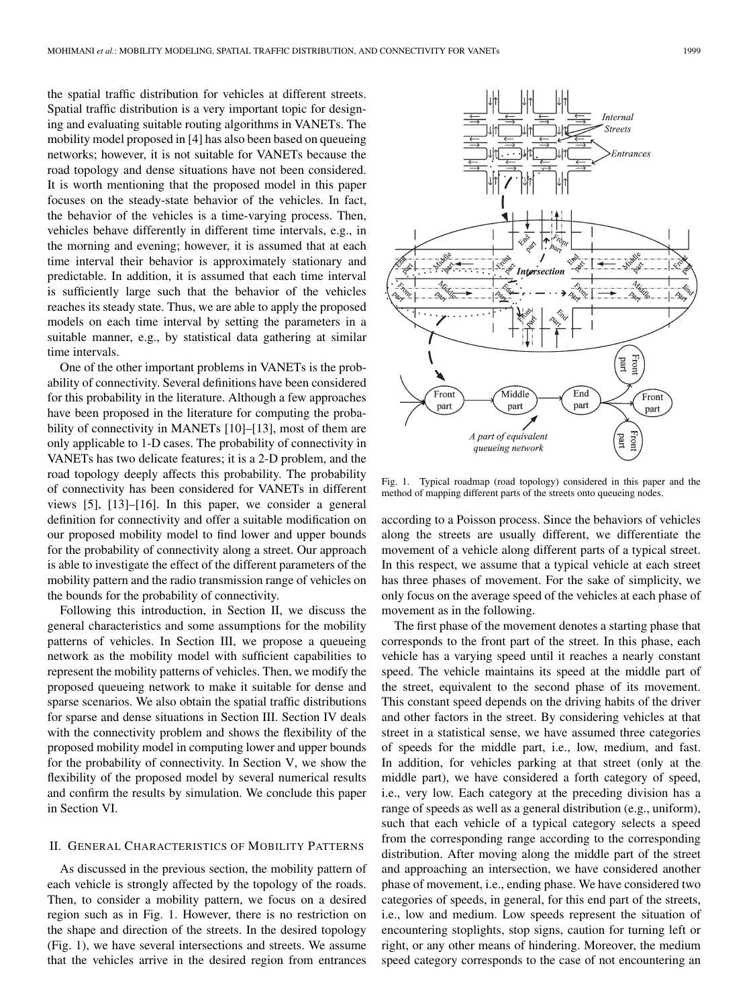the spatial traffic distribution for vehicles at different streets. Spatial traffic distribution is a very important topic for designing and evaluating suitable routing algorithms in VANETs. The mobility model proposed in [4] has also been based on queueing networks; however, it is not suitable for VANETs because the road topology and dense situations have not been considered. It is worth mentioning that the proposed model in this paper focuses on the steady-state behavior of the vehicles. In fact, the behavior of the vehicles is a time-varying process. Then, vehicles behave differently in different time intervals, e.g., in the morning and evening; however, it is assumed that at each time interval their behavior is approximately stationary and predictable. In addition, it is assumed that each time interval is sufficiently large such that the behavior of the vehicles reaches its steady state. Thus, we are able to apply the proposed models on each time interval by setting the parameters in a suitable manner, e.g., by statistical data gathering at similar time intervals.

One of the other important problems in VANETs is the probability of connectivity. Several definitions have been considered for this probability in the literature. Although a few approaches have been proposed in the literature for computing the probability of connectivity in MANETs [10]–[13], most of them are only applicable to 1-D cases. The probability of connectivity in VANETs has two delicate features; it is a 2-D problem, and the road topology deeply affects this probability. The probability of connectivity has been considered for VANETs in different views [5], [13]–[16]. In this paper, we consider a general definition for connectivity and offer a suitable modification on our proposed mobility model to find lower and upper bounds for the probability of connectivity along a street. Our approach is able to investigate the effect of the different parameters of the mobility pattern and the radio transmission range of vehicles on the bounds for the probability of connectivity.

Following this introduction, in Section II, we discuss the general characteristics and some assumptions for the mobility patterns of vehicles. In Section III, we propose a queueing network as the mobility model with sufficient capabilities to represent the mobility patterns of vehicles. Then, we modify the proposed queueing network to make it suitable for dense and sparse scenarios. We also obtain the spatial traffic distributions for sparse and dense situations in Section III. Section IV deals with the connectivity problem and shows the flexibility of the proposed mobility model in computing lower and upper bounds for the probability of connectivity. In Section V, we show the flexibility of the proposed model by several numerical results and confirm the results by simulation. We conclude this paper in Section VI.

## II. GENERAL CHARACTERISTICS OF MOBILITY PATTERNS

As discussed in the previous section, the mobility pattern of each vehicle is strongly affected by the topology of the roads. Then, to consider a mobility pattern, we focus on a desired region such as in Fig. 1. However, there is no restriction on the shape and direction of the streets. In the desired topology (Fig. 1), we have several intersections and streets. We assume that the vehicles arrive in the desired region from entrances



Fig. 1. Typical roadmap (road topology) considered in this paper and the method of mapping different parts of the streets onto queueing nodes.

according to a Poisson process. Since the behaviors of vehicles along the streets are usually different, we differentiate the movement of a vehicle along different parts of a typical street. In this respect, we assume that a typical vehicle at each street has three phases of movement. For the sake of simplicity, we only focus on the average speed of the vehicles at each phase of movement as in the following.

The first phase of the movement denotes a starting phase that corresponds to the front part of the street. In this phase, each vehicle has a varying speed until it reaches a nearly constant speed. The vehicle maintains its speed at the middle part of the street, equivalent to the second phase of its movement. This constant speed depends on the driving habits of the driver and other factors in the street. By considering vehicles at that street in a statistical sense, we have assumed three categories of speeds for the middle part, i.e., low, medium, and fast. In addition, for vehicles parking at that street (only at the middle part), we have considered a forth category of speed, i.e., very low. Each category at the preceding division has a range of speeds as well as a general distribution (e.g., uniform), such that each vehicle of a typical category selects a speed from the corresponding range according to the corresponding distribution. After moving along the middle part of the street and approaching an intersection, we have considered another phase of movement, i.e., ending phase. We have considered two categories of speeds, in general, for this end part of the streets, i.e., low and medium. Low speeds represent the situation of encountering stoplights, stop signs, caution for turning left or right, or any other means of hindering. Moreover, the medium speed category corresponds to the case of not encountering an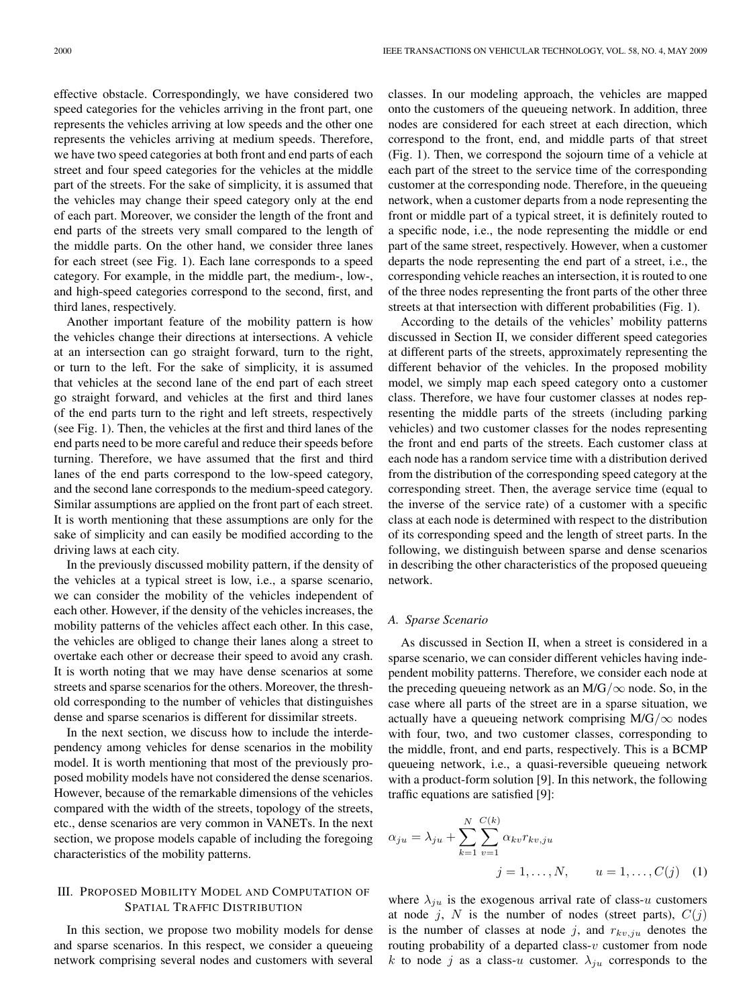effective obstacle. Correspondingly, we have considered two speed categories for the vehicles arriving in the front part, one represents the vehicles arriving at low speeds and the other one represents the vehicles arriving at medium speeds. Therefore, we have two speed categories at both front and end parts of each street and four speed categories for the vehicles at the middle part of the streets. For the sake of simplicity, it is assumed that the vehicles may change their speed category only at the end of each part. Moreover, we consider the length of the front and end parts of the streets very small compared to the length of the middle parts. On the other hand, we consider three lanes for each street (see Fig. 1). Each lane corresponds to a speed category. For example, in the middle part, the medium-, low-, and high-speed categories correspond to the second, first, and third lanes, respectively.

Another important feature of the mobility pattern is how the vehicles change their directions at intersections. A vehicle at an intersection can go straight forward, turn to the right, or turn to the left. For the sake of simplicity, it is assumed that vehicles at the second lane of the end part of each street go straight forward, and vehicles at the first and third lanes of the end parts turn to the right and left streets, respectively (see Fig. 1). Then, the vehicles at the first and third lanes of the end parts need to be more careful and reduce their speeds before turning. Therefore, we have assumed that the first and third lanes of the end parts correspond to the low-speed category, and the second lane corresponds to the medium-speed category. Similar assumptions are applied on the front part of each street. It is worth mentioning that these assumptions are only for the sake of simplicity and can easily be modified according to the driving laws at each city.

In the previously discussed mobility pattern, if the density of the vehicles at a typical street is low, i.e., a sparse scenario, we can consider the mobility of the vehicles independent of each other. However, if the density of the vehicles increases, the mobility patterns of the vehicles affect each other. In this case, the vehicles are obliged to change their lanes along a street to overtake each other or decrease their speed to avoid any crash. It is worth noting that we may have dense scenarios at some streets and sparse scenarios for the others. Moreover, the threshold corresponding to the number of vehicles that distinguishes dense and sparse scenarios is different for dissimilar streets.

In the next section, we discuss how to include the interdependency among vehicles for dense scenarios in the mobility model. It is worth mentioning that most of the previously proposed mobility models have not considered the dense scenarios. However, because of the remarkable dimensions of the vehicles compared with the width of the streets, topology of the streets, etc., dense scenarios are very common in VANETs. In the next section, we propose models capable of including the foregoing characteristics of the mobility patterns.

## III. PROPOSED MOBILITY MODEL AND COMPUTATION OF SPATIAL TRAFFIC DISTRIBUTION

In this section, we propose two mobility models for dense and sparse scenarios. In this respect, we consider a queueing network comprising several nodes and customers with several classes. In our modeling approach, the vehicles are mapped onto the customers of the queueing network. In addition, three nodes are considered for each street at each direction, which correspond to the front, end, and middle parts of that street (Fig. 1). Then, we correspond the sojourn time of a vehicle at each part of the street to the service time of the corresponding customer at the corresponding node. Therefore, in the queueing network, when a customer departs from a node representing the front or middle part of a typical street, it is definitely routed to a specific node, i.e., the node representing the middle or end part of the same street, respectively. However, when a customer departs the node representing the end part of a street, i.e., the corresponding vehicle reaches an intersection, it is routed to one of the three nodes representing the front parts of the other three streets at that intersection with different probabilities (Fig. 1).

According to the details of the vehicles' mobility patterns discussed in Section II, we consider different speed categories at different parts of the streets, approximately representing the different behavior of the vehicles. In the proposed mobility model, we simply map each speed category onto a customer class. Therefore, we have four customer classes at nodes representing the middle parts of the streets (including parking vehicles) and two customer classes for the nodes representing the front and end parts of the streets. Each customer class at each node has a random service time with a distribution derived from the distribution of the corresponding speed category at the corresponding street. Then, the average service time (equal to the inverse of the service rate) of a customer with a specific class at each node is determined with respect to the distribution of its corresponding speed and the length of street parts. In the following, we distinguish between sparse and dense scenarios in describing the other characteristics of the proposed queueing network.

#### *A. Sparse Scenario*

As discussed in Section II, when a street is considered in a sparse scenario, we can consider different vehicles having independent mobility patterns. Therefore, we consider each node at the preceding queueing network as an  $M/G/\infty$  node. So, in the case where all parts of the street are in a sparse situation, we actually have a queueing network comprising M/G/ $\infty$  nodes with four, two, and two customer classes, corresponding to the middle, front, and end parts, respectively. This is a BCMP queueing network, i.e., a quasi-reversible queueing network with a product-form solution [9]. In this network, the following traffic equations are satisfied [9]:

$$
\alpha_{ju} = \lambda_{ju} + \sum_{k=1}^{N} \sum_{v=1}^{C(k)} \alpha_{kv} r_{kv,ju}
$$
  

$$
j = 1, ..., N, \qquad u = 1, ..., C(j) \quad (1)
$$

where  $\lambda_{ju}$  is the exogenous arrival rate of class-u customers at node j, N is the number of nodes (street parts),  $C(j)$ is the number of classes at node j, and  $r_{kv,ju}$  denotes the routing probability of a departed class- $v$  customer from node k to node j as a class-u customer.  $\lambda_{ju}$  corresponds to the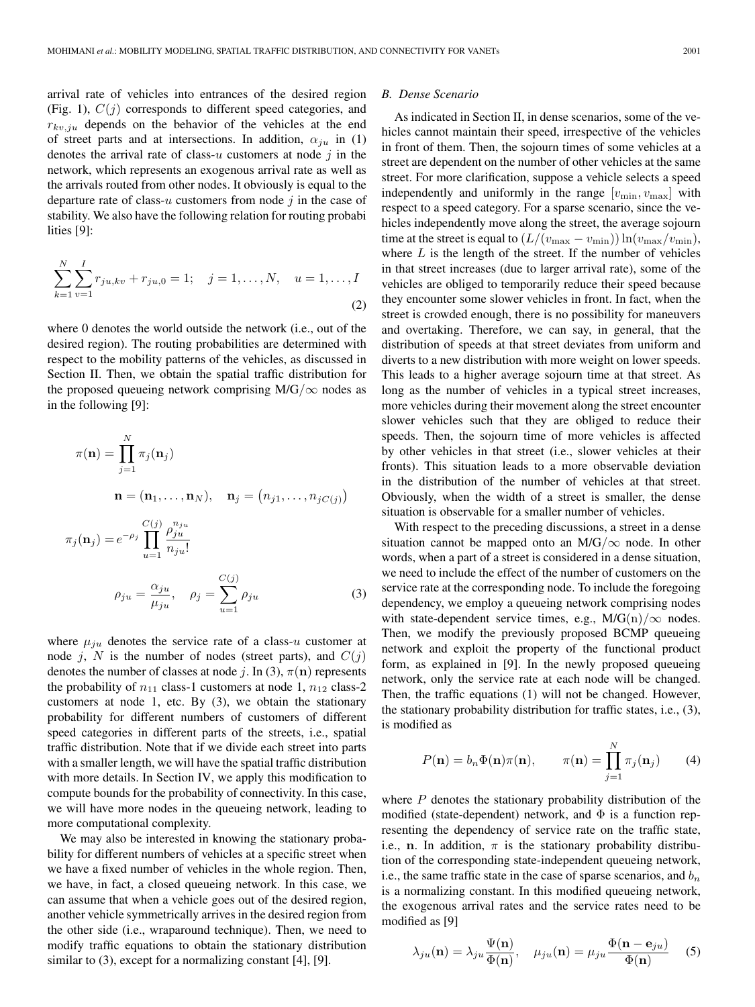arrival rate of vehicles into entrances of the desired region (Fig. 1),  $C(j)$  corresponds to different speed categories, and  $r_{kv,ju}$  depends on the behavior of the vehicles at the end of street parts and at intersections. In addition,  $\alpha_{ju}$  in (1) denotes the arrival rate of class- $u$  customers at node  $j$  in the network, which represents an exogenous arrival rate as well as the arrivals routed from other nodes. It obviously is equal to the departure rate of class-u customers from node  $j$  in the case of stability. We also have the following relation for routing probabi lities [9]:

$$
\sum_{k=1}^{N} \sum_{v=1}^{I} r_{ju,kv} + r_{ju,0} = 1; \quad j = 1, ..., N, \quad u = 1, ..., I
$$
\n(2)

where 0 denotes the world outside the network (i.e., out of the desired region). The routing probabilities are determined with respect to the mobility patterns of the vehicles, as discussed in Section II. Then, we obtain the spatial traffic distribution for the proposed queueing network comprising M/G/ $\infty$  nodes as in the following [9]:

$$
\pi(\mathbf{n}) = \prod_{j=1}^{N} \pi_j(\mathbf{n}_j)
$$

$$
\mathbf{n} = (\mathbf{n}_1, \dots, \mathbf{n}_N), \quad \mathbf{n}_j = (n_{j1}, \dots, n_{jC(j)})
$$

$$
\pi_j(\mathbf{n}_j) = e^{-\rho_j} \prod_{u=1}^{C(j)} \frac{\rho_{ju}^{n_{ju}}}{n_{ju}!}
$$

$$
\rho_{ju} = \frac{\alpha_{ju}}{\mu_{ju}}, \quad \rho_j = \sum_{u=1}^{C(j)} \rho_{ju}
$$
(3)

where  $\mu_{ju}$  denotes the service rate of a class-u customer at node j, N is the number of nodes (street parts), and  $C(j)$ denotes the number of classes at node j. In (3),  $\pi(\mathbf{n})$  represents the probability of  $n_{11}$  class-1 customers at node 1,  $n_{12}$  class-2 customers at node 1, etc. By (3), we obtain the stationary probability for different numbers of customers of different speed categories in different parts of the streets, i.e., spatial traffic distribution. Note that if we divide each street into parts with a smaller length, we will have the spatial traffic distribution with more details. In Section IV, we apply this modification to compute bounds for the probability of connectivity. In this case, we will have more nodes in the queueing network, leading to more computational complexity.

We may also be interested in knowing the stationary probability for different numbers of vehicles at a specific street when we have a fixed number of vehicles in the whole region. Then, we have, in fact, a closed queueing network. In this case, we can assume that when a vehicle goes out of the desired region, another vehicle symmetrically arrives in the desired region from the other side (i.e., wraparound technique). Then, we need to modify traffic equations to obtain the stationary distribution similar to (3), except for a normalizing constant [4], [9].

## *B. Dense Scenario*

As indicated in Section II, in dense scenarios, some of the vehicles cannot maintain their speed, irrespective of the vehicles in front of them. Then, the sojourn times of some vehicles at a street are dependent on the number of other vehicles at the same street. For more clarification, suppose a vehicle selects a speed independently and uniformly in the range  $[v_{\min}, v_{\max}]$  with respect to a speed category. For a sparse scenario, since the vehicles independently move along the street, the average sojourn time at the street is equal to  $(L/(v_{\text{max}} - v_{\text{min}})) \ln(v_{\text{max}}/v_{\text{min}})$ , where  $L$  is the length of the street. If the number of vehicles in that street increases (due to larger arrival rate), some of the vehicles are obliged to temporarily reduce their speed because they encounter some slower vehicles in front. In fact, when the street is crowded enough, there is no possibility for maneuvers and overtaking. Therefore, we can say, in general, that the distribution of speeds at that street deviates from uniform and diverts to a new distribution with more weight on lower speeds. This leads to a higher average sojourn time at that street. As long as the number of vehicles in a typical street increases, more vehicles during their movement along the street encounter slower vehicles such that they are obliged to reduce their speeds. Then, the sojourn time of more vehicles is affected by other vehicles in that street (i.e., slower vehicles at their fronts). This situation leads to a more observable deviation in the distribution of the number of vehicles at that street. Obviously, when the width of a street is smaller, the dense situation is observable for a smaller number of vehicles.

With respect to the preceding discussions, a street in a dense situation cannot be mapped onto an M/G/ $\infty$  node. In other words, when a part of a street is considered in a dense situation, we need to include the effect of the number of customers on the service rate at the corresponding node. To include the foregoing dependency, we employ a queueing network comprising nodes with state-dependent service times, e.g., M/G(n)/ $\infty$  nodes. Then, we modify the previously proposed BCMP queueing network and exploit the property of the functional product form, as explained in [9]. In the newly proposed queueing network, only the service rate at each node will be changed. Then, the traffic equations (1) will not be changed. However, the stationary probability distribution for traffic states, i.e., (3), is modified as

$$
P(\mathbf{n}) = b_n \Phi(\mathbf{n}) \pi(\mathbf{n}), \qquad \pi(\mathbf{n}) = \prod_{j=1}^N \pi_j(\mathbf{n}_j) \qquad (4)
$$

where  $P$  denotes the stationary probability distribution of the modified (state-dependent) network, and  $\Phi$  is a function representing the dependency of service rate on the traffic state, i.e., **n**. In addition,  $\pi$  is the stationary probability distribution of the corresponding state-independent queueing network, i.e., the same traffic state in the case of sparse scenarios, and  $b_n$ is a normalizing constant. In this modified queueing network, the exogenous arrival rates and the service rates need to be modified as [9]

$$
\lambda_{ju}(\mathbf{n}) = \lambda_{ju} \frac{\Psi(\mathbf{n})}{\Phi(\mathbf{n})}, \quad \mu_{ju}(\mathbf{n}) = \mu_{ju} \frac{\Phi(\mathbf{n} - \mathbf{e}_{ju})}{\Phi(\mathbf{n})}
$$
 (5)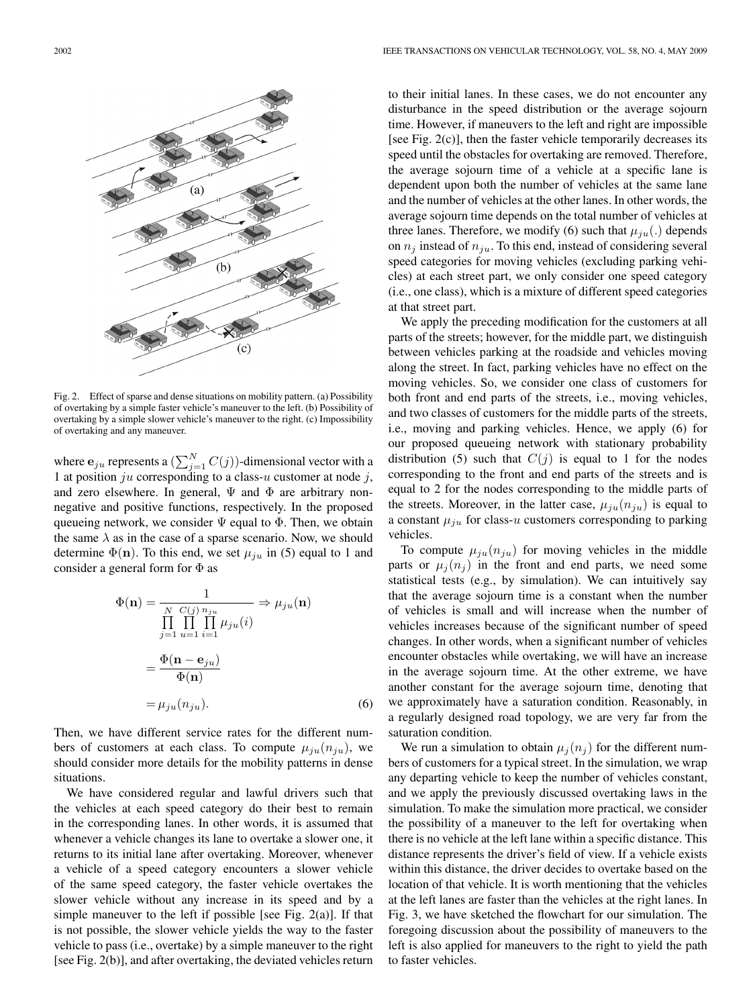

Fig. 2. Effect of sparse and dense situations on mobility pattern. (a) Possibility of overtaking by a simple faster vehicle's maneuver to the left. (b) Possibility of overtaking by a simple slower vehicle's maneuver to the right. (c) Impossibility of overtaking and any maneuver.

where  $\mathbf{e}_{ju}$  represents a  $\left(\sum_{j=1}^{N} C(j)\right)$ -dimensional vector with a 1 at position ju corresponding to a class-u customer at node j, and zero elsewhere. In general,  $\Psi$  and  $\Phi$  are arbitrary nonnegative and positive functions, respectively. In the proposed queueing network, we consider  $\Psi$  equal to  $\Phi$ . Then, we obtain the same  $\lambda$  as in the case of a sparse scenario. Now, we should determine  $\Phi(\mathbf{n})$ . To this end, we set  $\mu_{iu}$  in (5) equal to 1 and consider a general form for Φ as

$$
\Phi(\mathbf{n}) = \frac{1}{\prod_{j=1}^{N} \prod_{u=1}^{C(j)} \prod_{i=1}^{n_{ju}} \mu_{ju}(i)} \Rightarrow \mu_{ju}(\mathbf{n})
$$

$$
= \frac{\Phi(\mathbf{n} - \mathbf{e}_{ju})}{\Phi(\mathbf{n})}
$$

$$
= \mu_{ju}(n_{ju}). \tag{6}
$$

Then, we have different service rates for the different numbers of customers at each class. To compute  $\mu_{ju}(n_{ju})$ , we should consider more details for the mobility patterns in dense situations.

We have considered regular and lawful drivers such that the vehicles at each speed category do their best to remain in the corresponding lanes. In other words, it is assumed that whenever a vehicle changes its lane to overtake a slower one, it returns to its initial lane after overtaking. Moreover, whenever a vehicle of a speed category encounters a slower vehicle of the same speed category, the faster vehicle overtakes the slower vehicle without any increase in its speed and by a simple maneuver to the left if possible [see Fig. 2(a)]. If that is not possible, the slower vehicle yields the way to the faster vehicle to pass (i.e., overtake) by a simple maneuver to the right [see Fig. 2(b)], and after overtaking, the deviated vehicles return to their initial lanes. In these cases, we do not encounter any disturbance in the speed distribution or the average sojourn time. However, if maneuvers to the left and right are impossible [see Fig. 2(c)], then the faster vehicle temporarily decreases its speed until the obstacles for overtaking are removed. Therefore, the average sojourn time of a vehicle at a specific lane is dependent upon both the number of vehicles at the same lane and the number of vehicles at the other lanes. In other words, the average sojourn time depends on the total number of vehicles at three lanes. Therefore, we modify (6) such that  $\mu_{iu}(.)$  depends on  $n_i$  instead of  $n_{iu}$ . To this end, instead of considering several speed categories for moving vehicles (excluding parking vehicles) at each street part, we only consider one speed category (i.e., one class), which is a mixture of different speed categories at that street part.

We apply the preceding modification for the customers at all parts of the streets; however, for the middle part, we distinguish between vehicles parking at the roadside and vehicles moving along the street. In fact, parking vehicles have no effect on the moving vehicles. So, we consider one class of customers for both front and end parts of the streets, i.e., moving vehicles, and two classes of customers for the middle parts of the streets, i.e., moving and parking vehicles. Hence, we apply (6) for our proposed queueing network with stationary probability distribution (5) such that  $C(j)$  is equal to 1 for the nodes corresponding to the front and end parts of the streets and is equal to 2 for the nodes corresponding to the middle parts of the streets. Moreover, in the latter case,  $\mu_{iu}(n_{iu})$  is equal to a constant  $\mu_{ju}$  for class-u customers corresponding to parking vehicles.

To compute  $\mu_{ju}(n_{ju})$  for moving vehicles in the middle parts or  $\mu_i(n_i)$  in the front and end parts, we need some statistical tests (e.g., by simulation). We can intuitively say that the average sojourn time is a constant when the number of vehicles is small and will increase when the number of vehicles increases because of the significant number of speed changes. In other words, when a significant number of vehicles encounter obstacles while overtaking, we will have an increase in the average sojourn time. At the other extreme, we have another constant for the average sojourn time, denoting that we approximately have a saturation condition. Reasonably, in a regularly designed road topology, we are very far from the saturation condition.

We run a simulation to obtain  $\mu_i(n_i)$  for the different numbers of customers for a typical street. In the simulation, we wrap any departing vehicle to keep the number of vehicles constant, and we apply the previously discussed overtaking laws in the simulation. To make the simulation more practical, we consider the possibility of a maneuver to the left for overtaking when there is no vehicle at the left lane within a specific distance. This distance represents the driver's field of view. If a vehicle exists within this distance, the driver decides to overtake based on the location of that vehicle. It is worth mentioning that the vehicles at the left lanes are faster than the vehicles at the right lanes. In Fig. 3, we have sketched the flowchart for our simulation. The foregoing discussion about the possibility of maneuvers to the left is also applied for maneuvers to the right to yield the path to faster vehicles.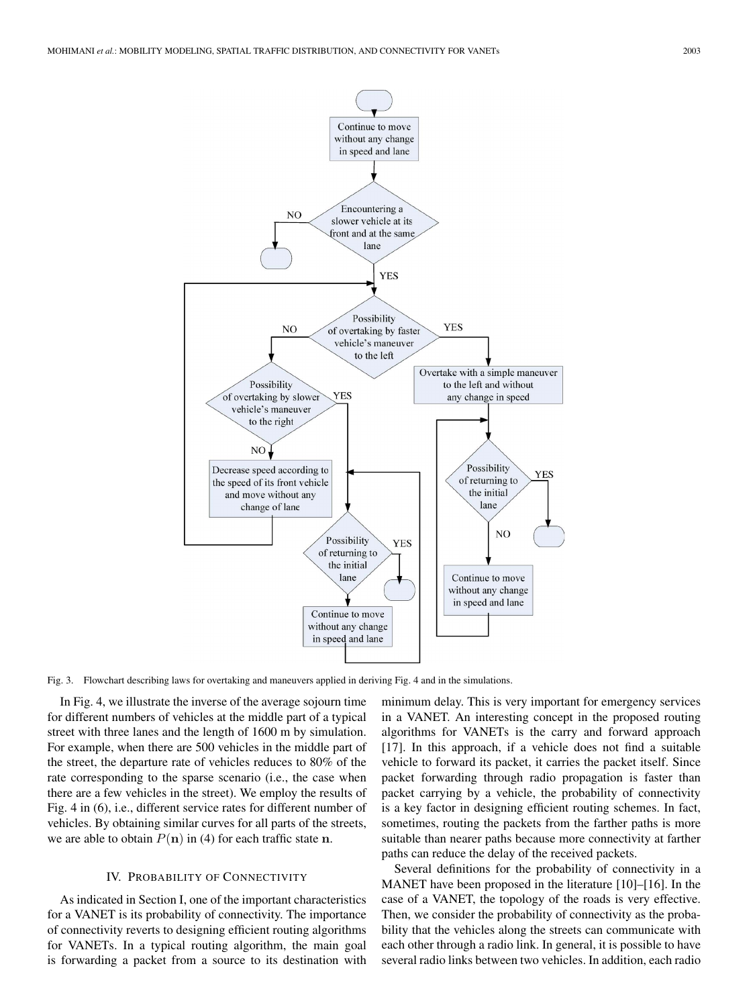

Fig. 3. Flowchart describing laws for overtaking and maneuvers applied in deriving Fig. 4 and in the simulations.

In Fig. 4, we illustrate the inverse of the average sojourn time for different numbers of vehicles at the middle part of a typical street with three lanes and the length of 1600 m by simulation. For example, when there are 500 vehicles in the middle part of the street, the departure rate of vehicles reduces to 80% of the rate corresponding to the sparse scenario (i.e., the case when there are a few vehicles in the street). We employ the results of Fig. 4 in (6), i.e., different service rates for different number of vehicles. By obtaining similar curves for all parts of the streets, we are able to obtain  $P(n)$  in (4) for each traffic state **n**.

#### IV. PROBABILITY OF CONNECTIVITY

As indicated in Section I, one of the important characteristics for a VANET is its probability of connectivity. The importance of connectivity reverts to designing efficient routing algorithms for VANETs. In a typical routing algorithm, the main goal is forwarding a packet from a source to its destination with minimum delay. This is very important for emergency services in a VANET. An interesting concept in the proposed routing algorithms for VANETs is the carry and forward approach [17]. In this approach, if a vehicle does not find a suitable vehicle to forward its packet, it carries the packet itself. Since packet forwarding through radio propagation is faster than packet carrying by a vehicle, the probability of connectivity is a key factor in designing efficient routing schemes. In fact, sometimes, routing the packets from the farther paths is more suitable than nearer paths because more connectivity at farther paths can reduce the delay of the received packets.

Several definitions for the probability of connectivity in a MANET have been proposed in the literature [10]–[16]. In the case of a VANET, the topology of the roads is very effective. Then, we consider the probability of connectivity as the probability that the vehicles along the streets can communicate with each other through a radio link. In general, it is possible to have several radio links between two vehicles. In addition, each radio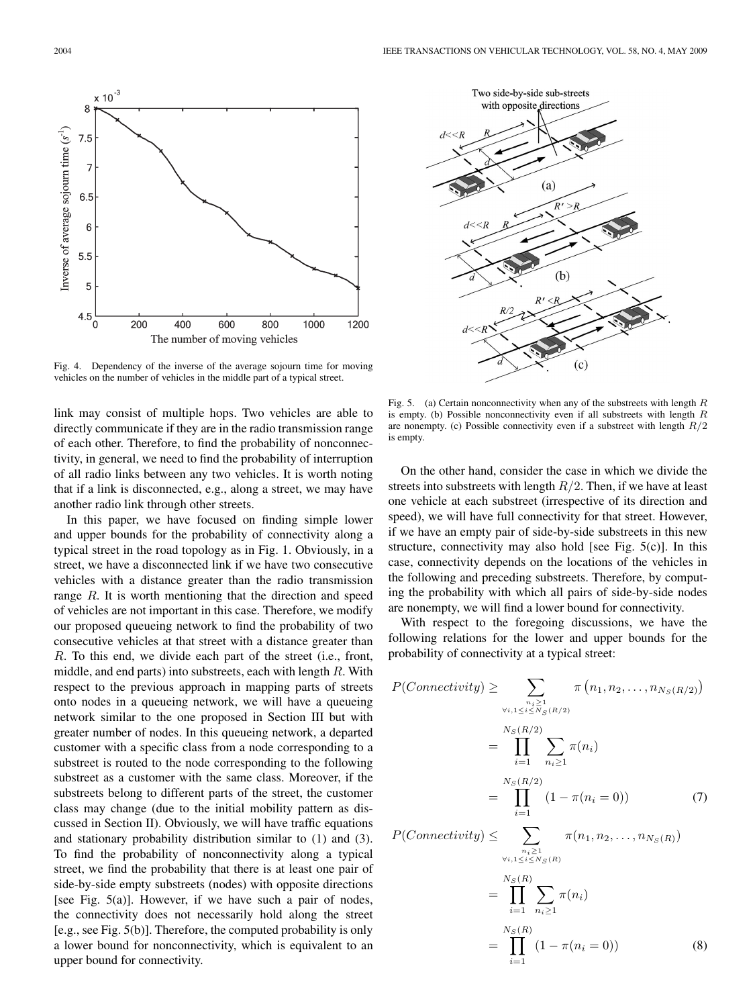$(a)$ 

 $R' > R$ 

 $(b)$ 

 $(c)$ 

 $\overline{R}$ 

Two side-by-side sub-streets with opposite directions

 $d<<$ 



Fig. 4. Dependency of the inverse of the average sojourn time for moving vehicles on the number of vehicles in the middle part of a typical street.

link may consist of multiple hops. Two vehicles are able to directly communicate if they are in the radio transmission range of each other. Therefore, to find the probability of nonconnectivity, in general, we need to find the probability of interruption of all radio links between any two vehicles. It is worth noting that if a link is disconnected, e.g., along a street, we may have another radio link through other streets.

In this paper, we have focused on finding simple lower and upper bounds for the probability of connectivity along a typical street in the road topology as in Fig. 1. Obviously, in a street, we have a disconnected link if we have two consecutive vehicles with a distance greater than the radio transmission range R. It is worth mentioning that the direction and speed of vehicles are not important in this case. Therefore, we modify our proposed queueing network to find the probability of two consecutive vehicles at that street with a distance greater than R. To this end, we divide each part of the street (i.e., front, middle, and end parts) into substreets, each with length R. With respect to the previous approach in mapping parts of streets onto nodes in a queueing network, we will have a queueing network similar to the one proposed in Section III but with greater number of nodes. In this queueing network, a departed customer with a specific class from a node corresponding to a substreet is routed to the node corresponding to the following substreet as a customer with the same class. Moreover, if the substreets belong to different parts of the street, the customer class may change (due to the initial mobility pattern as discussed in Section II). Obviously, we will have traffic equations and stationary probability distribution similar to (1) and (3). To find the probability of nonconnectivity along a typical street, we find the probability that there is at least one pair of side-by-side empty substreets (nodes) with opposite directions [see Fig. 5(a)]. However, if we have such a pair of nodes, the connectivity does not necessarily hold along the street [e.g., see Fig. 5(b)]. Therefore, the computed probability is only a lower bound for nonconnectivity, which is equivalent to an upper bound for connectivity.



On the other hand, consider the case in which we divide the streets into substreets with length  $R/2$ . Then, if we have at least one vehicle at each substreet (irrespective of its direction and speed), we will have full connectivity for that street. However, if we have an empty pair of side-by-side substreets in this new structure, connectivity may also hold [see Fig.  $5(c)$ ]. In this case, connectivity depends on the locations of the vehicles in the following and preceding substreets. Therefore, by computing the probability with which all pairs of side-by-side nodes are nonempty, we will find a lower bound for connectivity.

With respect to the foregoing discussions, we have the following relations for the lower and upper bounds for the probability of connectivity at a typical street:

$$
P(Connectivity) \geq \sum_{\substack{n_i \geq 1 \\ \forall i, 1 \leq i \leq N_S(R/2)}} \pi(n_1, n_2, ..., n_{N_S(R/2)})
$$
  
\n
$$
= \prod_{i=1}^{N_S(R/2)} \sum_{n_i \geq 1} \pi(n_i)
$$
  
\n
$$
= \prod_{i=1}^{N_S(R/2)} (1 - \pi(n_i = 0))
$$
  
\n
$$
P(Connectivity) \leq \sum_{\substack{n_i \geq 1 \\ \forall i, 1 \leq i \leq N_S(R) \\ \forall i, 1 \leq i \leq N_S(R)}} \pi(n_1, n_2, ..., n_{N_S(R)})
$$
  
\n
$$
= \prod_{i=1}^{N_S(R)} \sum_{n_i \geq 1} \pi(n_i)
$$
  
\n
$$
= \prod_{i=1}^{N_S(R)} (1 - \pi(n_i = 0))
$$
  
\n(8)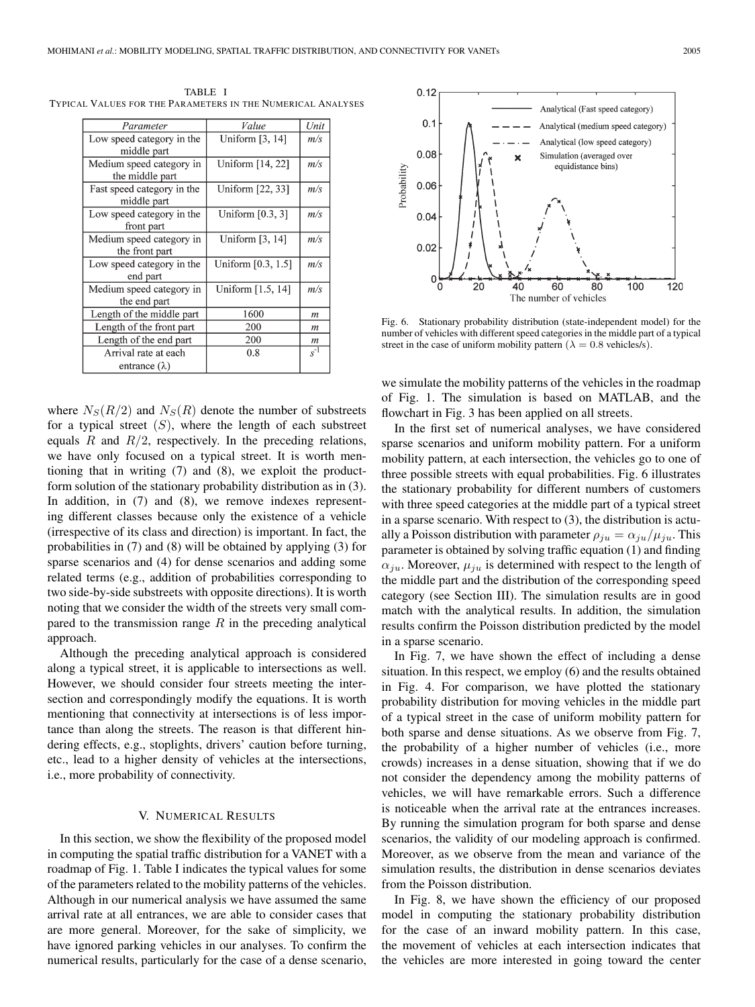| Parameter                  | Value              | Unit             |
|----------------------------|--------------------|------------------|
| Low speed category in the  | Uniform [3, 14]    | m/s              |
| middle part                |                    |                  |
| Medium speed category in   | Uniform [14, 22]   | m/s              |
| the middle part            |                    |                  |
| Fast speed category in the | Uniform [22, 33]   | m/s              |
| middle part                |                    |                  |
| Low speed category in the  | Uniform $[0.3, 3]$ | m/s              |
| front part                 |                    |                  |
| Medium speed category in   | Uniform $[3, 14]$  | m/s              |
| the front part             |                    |                  |
| Low speed category in the  | Uniform [0.3, 1.5] | m/s              |
| end part                   |                    |                  |
| Medium speed category in   | Uniform [1.5, 14]  | m/s              |
| the end part               |                    |                  |
| Length of the middle part  | 1600               | m                |
| Length of the front part   | 200                | $\boldsymbol{m}$ |
| Length of the end part     | 200                | $\boldsymbol{m}$ |
| Arrival rate at each       | 0.8                | $s^{-1}$         |
| entrance $(\lambda)$       |                    |                  |

TABLE I TYPICAL VALUES FOR THE PARAMETERS IN THE NUMERICAL ANALYSES

where  $N_S(R/2)$  and  $N_S(R)$  denote the number of substreets for a typical street  $(S)$ , where the length of each substreet equals  $R$  and  $R/2$ , respectively. In the preceding relations, we have only focused on a typical street. It is worth mentioning that in writing (7) and (8), we exploit the productform solution of the stationary probability distribution as in (3). In addition, in (7) and (8), we remove indexes representing different classes because only the existence of a vehicle (irrespective of its class and direction) is important. In fact, the probabilities in (7) and (8) will be obtained by applying (3) for sparse scenarios and (4) for dense scenarios and adding some related terms (e.g., addition of probabilities corresponding to two side-by-side substreets with opposite directions). It is worth noting that we consider the width of the streets very small compared to the transmission range  $R$  in the preceding analytical approach.

Although the preceding analytical approach is considered along a typical street, it is applicable to intersections as well. However, we should consider four streets meeting the intersection and correspondingly modify the equations. It is worth mentioning that connectivity at intersections is of less importance than along the streets. The reason is that different hindering effects, e.g., stoplights, drivers' caution before turning, etc., lead to a higher density of vehicles at the intersections, i.e., more probability of connectivity.

## V. NUMERICAL RESULTS

In this section, we show the flexibility of the proposed model in computing the spatial traffic distribution for a VANET with a roadmap of Fig. 1. Table I indicates the typical values for some of the parameters related to the mobility patterns of the vehicles. Although in our numerical analysis we have assumed the same arrival rate at all entrances, we are able to consider cases that are more general. Moreover, for the sake of simplicity, we have ignored parking vehicles in our analyses. To confirm the numerical results, particularly for the case of a dense scenario,



Fig. 6. Stationary probability distribution (state-independent model) for the number of vehicles with different speed categories in the middle part of a typical street in the case of uniform mobility pattern ( $\lambda = 0.8$  vehicles/s).

we simulate the mobility patterns of the vehicles in the roadmap of Fig. 1. The simulation is based on MATLAB, and the flowchart in Fig. 3 has been applied on all streets.

In the first set of numerical analyses, we have considered sparse scenarios and uniform mobility pattern. For a uniform mobility pattern, at each intersection, the vehicles go to one of three possible streets with equal probabilities. Fig. 6 illustrates the stationary probability for different numbers of customers with three speed categories at the middle part of a typical street in a sparse scenario. With respect to (3), the distribution is actually a Poisson distribution with parameter  $\rho_{ju} = \alpha_{ju}/\mu_{ju}$ . This parameter is obtained by solving traffic equation (1) and finding  $\alpha_{ju}$ . Moreover,  $\mu_{ju}$  is determined with respect to the length of the middle part and the distribution of the corresponding speed category (see Section III). The simulation results are in good match with the analytical results. In addition, the simulation results confirm the Poisson distribution predicted by the model in a sparse scenario.

In Fig. 7, we have shown the effect of including a dense situation. In this respect, we employ (6) and the results obtained in Fig. 4. For comparison, we have plotted the stationary probability distribution for moving vehicles in the middle part of a typical street in the case of uniform mobility pattern for both sparse and dense situations. As we observe from Fig. 7, the probability of a higher number of vehicles (i.e., more crowds) increases in a dense situation, showing that if we do not consider the dependency among the mobility patterns of vehicles, we will have remarkable errors. Such a difference is noticeable when the arrival rate at the entrances increases. By running the simulation program for both sparse and dense scenarios, the validity of our modeling approach is confirmed. Moreover, as we observe from the mean and variance of the simulation results, the distribution in dense scenarios deviates from the Poisson distribution.

In Fig. 8, we have shown the efficiency of our proposed model in computing the stationary probability distribution for the case of an inward mobility pattern. In this case, the movement of vehicles at each intersection indicates that the vehicles are more interested in going toward the center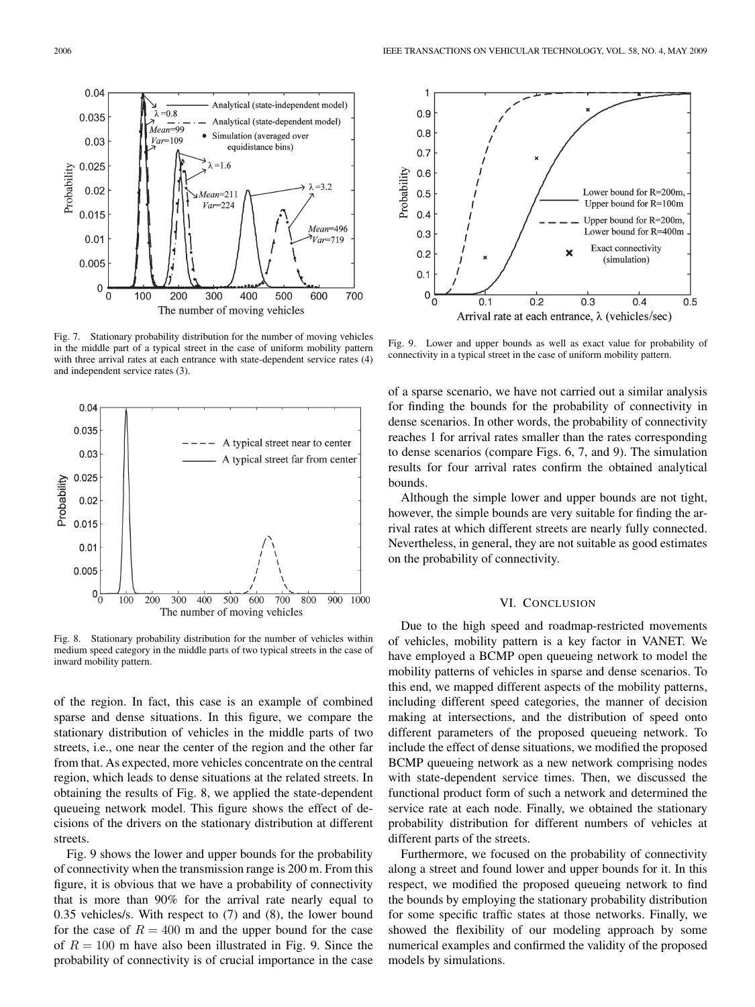

Analytical (state-independent model)

Analytical (state-dependent model)

Simulation (averaged over

equidistance bins)

Fig. 7. Stationary probability distribution for the number of moving vehicles in the middle part of a typical street in the case of uniform mobility pattern with three arrival rates at each entrance with state-dependent service rates (4) and independent service rates (3).



Fig. 8. Stationary probability distribution for the number of vehicles within medium speed category in the middle parts of two typical streets in the case of inward mobility pattern.

of the region. In fact, this case is an example of combined sparse and dense situations. In this figure, we compare the stationary distribution of vehicles in the middle parts of two streets, i.e., one near the center of the region and the other far from that. As expected, more vehicles concentrate on the central region, which leads to dense situations at the related streets. In obtaining the results of Fig. 8, we applied the state-dependent queueing network model. This figure shows the effect of decisions of the drivers on the stationary distribution at different streets.

Fig. 9 shows the lower and upper bounds for the probability of connectivity when the transmission range is 200 m. From this figure, it is obvious that we have a probability of connectivity that is more than 90% for the arrival rate nearly equal to 0.35 vehicles/s. With respect to (7) and (8), the lower bound for the case of  $R = 400$  m and the upper bound for the case of  $R = 100$  m have also been illustrated in Fig. 9. Since the probability of connectivity is of crucial importance in the case



Fig. 9. Lower and upper bounds as well as exact value for probability of connectivity in a typical street in the case of uniform mobility pattern.

of a sparse scenario, we have not carried out a similar analysis for finding the bounds for the probability of connectivity in dense scenarios. In other words, the probability of connectivity reaches 1 for arrival rates smaller than the rates corresponding to dense scenarios (compare Figs. 6, 7, and 9). The simulation results for four arrival rates confirm the obtained analytical bounds.

Although the simple lower and upper bounds are not tight, however, the simple bounds are very suitable for finding the arrival rates at which different streets are nearly fully connected. Nevertheless, in general, they are not suitable as good estimates on the probability of connectivity.

#### VI. CONCLUSION

Due to the high speed and roadmap-restricted movements of vehicles, mobility pattern is a key factor in VANET. We have employed a BCMP open queueing network to model the mobility patterns of vehicles in sparse and dense scenarios. To this end, we mapped different aspects of the mobility patterns, including different speed categories, the manner of decision making at intersections, and the distribution of speed onto different parameters of the proposed queueing network. To include the effect of dense situations, we modified the proposed BCMP queueing network as a new network comprising nodes with state-dependent service times. Then, we discussed the functional product form of such a network and determined the service rate at each node. Finally, we obtained the stationary probability distribution for different numbers of vehicles at different parts of the streets.

Furthermore, we focused on the probability of connectivity along a street and found lower and upper bounds for it. In this respect, we modified the proposed queueing network to find the bounds by employing the stationary probability distribution for some specific traffic states at those networks. Finally, we showed the flexibility of our modeling approach by some numerical examples and confirmed the validity of the proposed models by simulations.

 $0.04$ 

0.035

 $0.03$ 

٦  $=0.8$ 

 $\widetilde{Mean=99}$ 

 $Var=109$